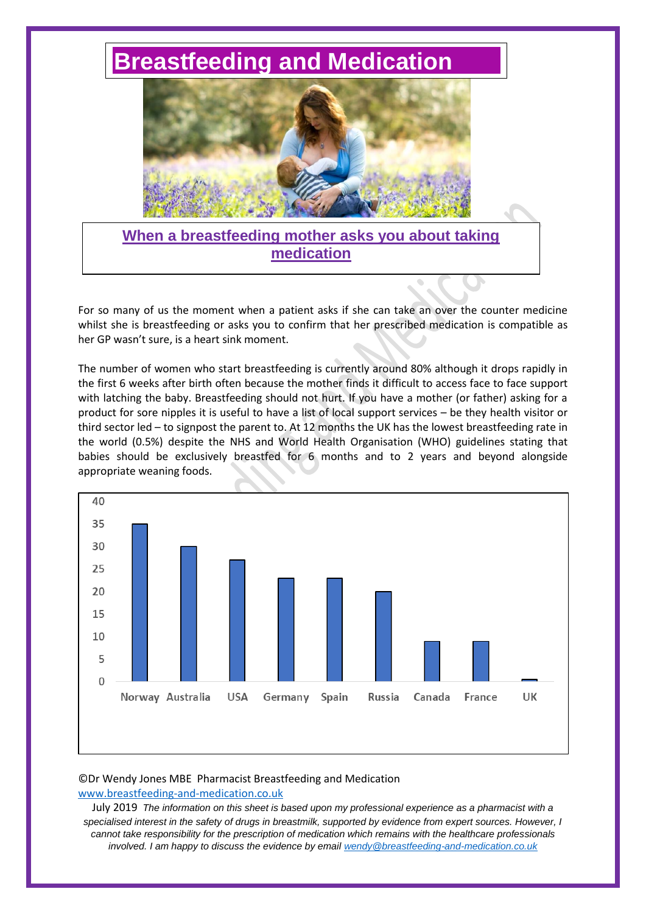# **[Breastfeeding and Medication](http://www.breastfeeding-and-medication.co.uk/)**



# **When a breastfeeding mother asks you about taking medication**

For so many of us the moment when a patient asks if she can take an over the counter medicine whilst she is breastfeeding or asks you to confirm that her prescribed medication is compatible as her GP wasn't sure, is a heart sink moment.

The number of women who start breastfeeding is currently around 80% although it drops rapidly in the first 6 weeks after birth often because the mother finds it difficult to access face to face support with latching the baby. Breastfeeding should not hurt. If you have a mother (or father) asking for a product for sore nipples it is useful to have a list of local support services – be they health visitor or third sector led – to signpost the parent to. At 12 months the UK has the lowest breastfeeding rate in the world (0.5%) despite the NHS and World Health Organisation (WHO) guidelines stating that babies should be exclusively breastfed for 6 months and to 2 years and beyond alongside appropriate weaning foods.



# ©Dr Wendy Jones MBE Pharmacist Breastfeeding and Medication [www.breastfeeding-and-medication.co.uk](http://www.breastfeeding-and-medication.co.uk/)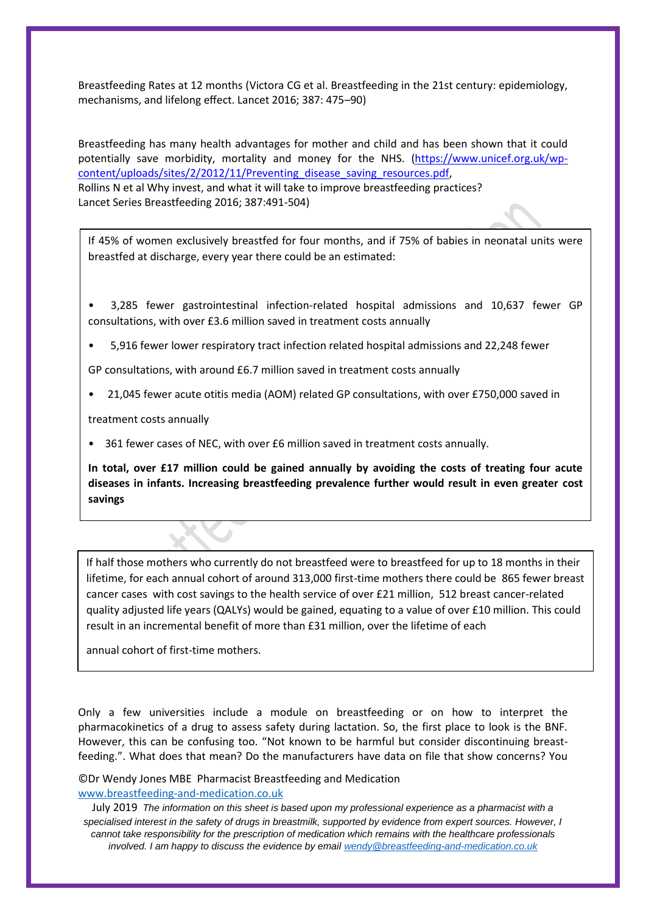Breastfeeding Rates at 12 months (Victora CG et al. Breastfeeding in the 21st century: epidemiology, mechanisms, and lifelong effect. Lancet 2016; 387: 475–90)

Breastfeeding has many health advantages for mother and child and has been shown that it could potentially save morbidity, mortality and money for the NHS. [\(https://www.unicef.org.uk/wp](https://www.unicef.org.uk/wp-%20content/uploads/sites/2/2012/11/Preventing_disease_saving_resources.pdf)[content/uploads/sites/2/2012/11/Preventing\\_disease\\_saving\\_resources.pdf,](https://www.unicef.org.uk/wp-%20content/uploads/sites/2/2012/11/Preventing_disease_saving_resources.pdf) Rollins N et al Why invest, and what it will take to improve breastfeeding practices? Lancet Series Breastfeeding 2016; 387:491-504)

If 45% of women exclusively breastfed for four months, and if 75% of babies in neonatal units were breastfed at discharge, every year there could be an estimated:

• 3,285 fewer gastrointestinal infection-related hospital admissions and 10,637 fewer GP consultations, with over £3.6 million saved in treatment costs annually

• 5,916 fewer lower respiratory tract infection related hospital admissions and 22,248 fewer

GP consultations, with around £6.7 million saved in treatment costs annually

• 21,045 fewer acute otitis media (AOM) related GP consultations, with over £750,000 saved in

treatment costs annually

• 361 fewer cases of NEC, with over £6 million saved in treatment costs annually.

**In total, over £17 million could be gained annually by avoiding the costs of treating four acute diseases in infants. Increasing breastfeeding prevalence further would result in even greater cost savings**

If half those mothers who currently do not breastfeed were to breastfeed for up to 18 months in their lifetime, for each annual cohort of around 313,000 first-time mothers there could be 865 fewer breast cancer cases with cost savings to the health service of over £21 million, 512 breast cancer-related quality adjusted life years (QALYs) would be gained, equating to a value of over £10 million. This could result in an incremental benefit of more than £31 million, over the lifetime of each

annual cohort of first-time mothers.

Only a few universities include a module on breastfeeding or on how to interpret the pharmacokinetics of a drug to assess safety during lactation. So, the first place to look is the BNF. However, this can be confusing too. "Not known to be harmful but consider discontinuing breastfeeding.". What does that mean? Do the manufacturers have data on file that show concerns? You

©Dr Wendy Jones MBE Pharmacist Breastfeeding and Medication [www.breastfeeding-and-medication.co.uk](http://www.breastfeeding-and-medication.co.uk/)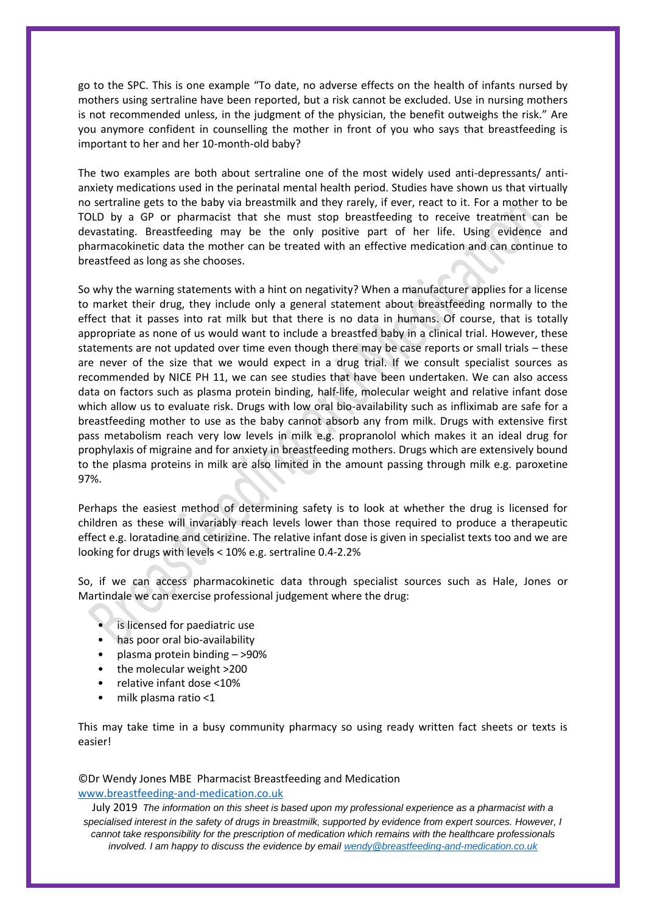go to the SPC. This is one example "To date, no adverse effects on the health of infants nursed by mothers using sertraline have been reported, but a risk cannot be excluded. Use in nursing mothers is not recommended unless, in the judgment of the physician, the benefit outweighs the risk." Are you anymore confident in counselling the mother in front of you who says that breastfeeding is important to her and her 10-month-old baby?

The two examples are both about sertraline one of the most widely used anti-depressants/ antianxiety medications used in the perinatal mental health period. Studies have shown us that virtually no sertraline gets to the baby via breastmilk and they rarely, if ever, react to it. For a mother to be TOLD by a GP or pharmacist that she must stop breastfeeding to receive treatment can be devastating. Breastfeeding may be the only positive part of her life. Using evidence and pharmacokinetic data the mother can be treated with an effective medication and can continue to breastfeed as long as she chooses.

So why the warning statements with a hint on negativity? When a manufacturer applies for a license to market their drug, they include only a general statement about breastfeeding normally to the effect that it passes into rat milk but that there is no data in humans. Of course, that is totally appropriate as none of us would want to include a breastfed baby in a clinical trial. However, these statements are not updated over time even though there may be case reports or small trials – these are never of the size that we would expect in a drug trial. If we consult specialist sources as recommended by NICE PH 11, we can see studies that have been undertaken. We can also access data on factors such as plasma protein binding, half-life, molecular weight and relative infant dose which allow us to evaluate risk. Drugs with low oral bio-availability such as infliximab are safe for a breastfeeding mother to use as the baby cannot absorb any from milk. Drugs with extensive first pass metabolism reach very low levels in milk e.g. propranolol which makes it an ideal drug for prophylaxis of migraine and for anxiety in breastfeeding mothers. Drugs which are extensively bound to the plasma proteins in milk are also limited in the amount passing through milk e.g. paroxetine 97%.

Perhaps the easiest method of determining safety is to look at whether the drug is licensed for children as these will invariably reach levels lower than those required to produce a therapeutic effect e.g. loratadine and cetirizine. The relative infant dose is given in specialist texts too and we are looking for drugs with levels < 10% e.g. sertraline 0.4-2.2%

So, if we can access pharmacokinetic data through specialist sources such as Hale, Jones or Martindale we can exercise professional judgement where the drug:

- is licensed for paediatric use
- has poor oral bio-availability
- plasma protein binding >90%
- the molecular weight >200
- relative infant dose <10%
- milk plasma ratio <1

This may take time in a busy community pharmacy so using ready written fact sheets or texts is easier!

# ©Dr Wendy Jones MBE Pharmacist Breastfeeding and Medication [www.breastfeeding-and-medication.co.uk](http://www.breastfeeding-and-medication.co.uk/)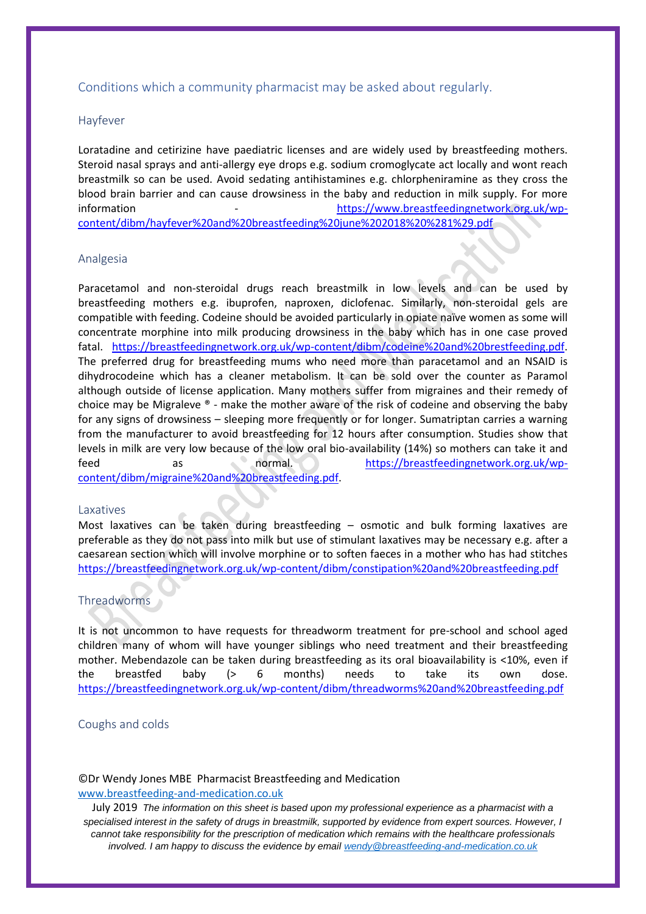# Conditions which a community pharmacist may be asked about regularly.

## Hayfever

Loratadine and cetirizine have paediatric licenses and are widely used by breastfeeding mothers. Steroid nasal sprays and anti-allergy eye drops e.g. sodium cromoglycate act locally and wont reach breastmilk so can be used. Avoid sedating antihistamines e.g. chlorpheniramine as they cross the blood brain barrier and can cause drowsiness in the baby and reduction in milk supply. For more information - [https://www.breastfeedingnetwork.org.uk/wp](https://www.breastfeedingnetwork.org.uk/wp-content/dibm/hayfever%20and%20breastfeeding%20june%202018%20%281%29.pdf)[content/dibm/hayfever%20and%20breastfeeding%20june%202018%20%281%29.pdf](https://www.breastfeedingnetwork.org.uk/wp-content/dibm/hayfever%20and%20breastfeeding%20june%202018%20%281%29.pdf)

#### Analgesia

Paracetamol and non-steroidal drugs reach breastmilk in low levels and can be used by breastfeeding mothers e.g. ibuprofen, naproxen, diclofenac. Similarly, non-steroidal gels are compatible with feeding. Codeine should be avoided particularly in opiate naïve women as some will concentrate morphine into milk producing drowsiness in the baby which has in one case proved fatal. [https://breastfeedingnetwork.org.uk/wp-content/dibm/codeine%20and%20brestfeeding.pdf.](https://breastfeedingnetwork.org.uk/wp-content/dibm/codeine%20and%20brestfeeding.pdf) The preferred drug for breastfeeding mums who need more than paracetamol and an NSAID is dihydrocodeine which has a cleaner metabolism. It can be sold over the counter as Paramol although outside of license application. Many mothers suffer from migraines and their remedy of choice may be Migraleve ® - make the mother aware of the risk of codeine and observing the baby for any signs of drowsiness – sleeping more frequently or for longer. Sumatriptan carries a warning from the manufacturer to avoid breastfeeding for 12 hours after consumption. Studies show that levels in milk are very low because of the low oral bio-availability (14%) so mothers can take it and feed as normal. [https://breastfeedingnetwork.org.uk/wp](https://breastfeedingnetwork.org.uk/wp-content/dibm/migraine%20and%20breastfeeding.pdf)[content/dibm/migraine%20and%20breastfeeding.pdf.](https://breastfeedingnetwork.org.uk/wp-content/dibm/migraine%20and%20breastfeeding.pdf)

#### Laxatives

Most laxatives can be taken during breastfeeding – osmotic and bulk forming laxatives are preferable as they do not pass into milk but use of stimulant laxatives may be necessary e.g. after a caesarean section which will involve morphine or to soften faeces in a mother who has had stitches <https://breastfeedingnetwork.org.uk/wp-content/dibm/constipation%20and%20breastfeeding.pdf>

#### Threadworms

It is not uncommon to have requests for threadworm treatment for pre-school and school aged children many of whom will have younger siblings who need treatment and their breastfeeding mother. Mebendazole can be taken during breastfeeding as its oral bioavailability is <10%, even if the breastfed baby (> 6 months) needs to take its own dose. <https://breastfeedingnetwork.org.uk/wp-content/dibm/threadworms%20and%20breastfeeding.pdf>

#### Coughs and colds

## ©Dr Wendy Jones MBE Pharmacist Breastfeeding and Medication [www.breastfeeding-and-medication.co.uk](http://www.breastfeeding-and-medication.co.uk/)